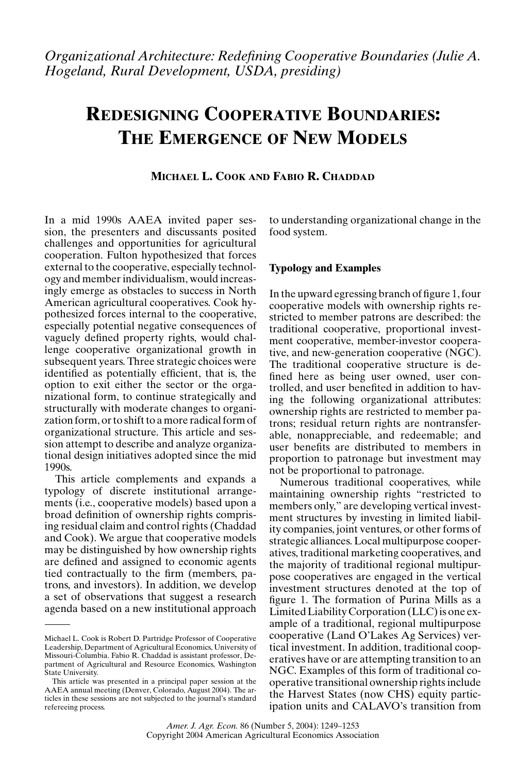# **REDESIGNING COOPERATIVE BOUNDARIES: THE EMERGENCE OF NEW MODELS**

# **MICHAEL L. COOK AND FABIO R. CHADDAD**

In a mid 1990s AAEA invited paper session, the presenters and discussants posited challenges and opportunities for agricultural cooperation. Fulton hypothesized that forces external to the cooperative, especially technology and member individualism, would increasingly emerge as obstacles to success in North American agricultural cooperatives. Cook hypothesized forces internal to the cooperative, especially potential negative consequences of vaguely defined property rights, would challenge cooperative organizational growth in subsequent years. Three strategic choices were identified as potentially efficient, that is, the option to exit either the sector or the organizational form, to continue strategically and structurally with moderate changes to organization form, or to shift to a more radical form of organizational structure. This article and session attempt to describe and analyze organizational design initiatives adopted since the mid 1990s.

This article complements and expands a typology of discrete institutional arrangements (i.e., cooperative models) based upon a broad definition of ownership rights comprising residual claim and control rights (Chaddad and Cook). We argue that cooperative models may be distinguished by how ownership rights are defined and assigned to economic agents tied contractually to the firm (members, patrons, and investors). In addition, we develop a set of observations that suggest a research agenda based on a new institutional approach to understanding organizational change in the food system.

#### **Typology and Examples**

In the upward egressing branch of figure 1, four cooperative models with ownership rights restricted to member patrons are described: the traditional cooperative, proportional investment cooperative, member-investor cooperative, and new-generation cooperative (NGC). The traditional cooperative structure is defined here as being user owned, user controlled, and user benefited in addition to having the following organizational attributes: ownership rights are restricted to member patrons; residual return rights are nontransferable, nonappreciable, and redeemable; and user benefits are distributed to members in proportion to patronage but investment may not be proportional to patronage.

Numerous traditional cooperatives, while maintaining ownership rights "restricted to members only," are developing vertical investment structures by investing in limited liability companies, joint ventures, or other forms of strategic alliances. Local multipurpose cooperatives, traditional marketing cooperatives, and the majority of traditional regional multipurpose cooperatives are engaged in the vertical investment structures denoted at the top of figure 1. The formation of Purina Mills as a Limited Liability Corporation (LLC) is one example of a traditional, regional multipurpose cooperative (Land O'Lakes Ag Services) vertical investment. In addition, traditional cooperatives have or are attempting transition to an NGC. Examples of this form of traditional cooperative transitional ownership rights include the Harvest States (now CHS) equity participation units and CALAVO's transition from

Michael L. Cook is Robert D. Partridge Professor of Cooperative Leadership, Department of Agricultural Economics, University of Missouri-Columbia. Fabio R. Chaddad is assistant professor, Department of Agricultural and Resource Economics, Washington State University.

This article was presented in a principal paper session at the AAEA annual meeting (Denver, Colorado, August 2004). The articles in these sessions are not subjected to the journal's standard refereeing process.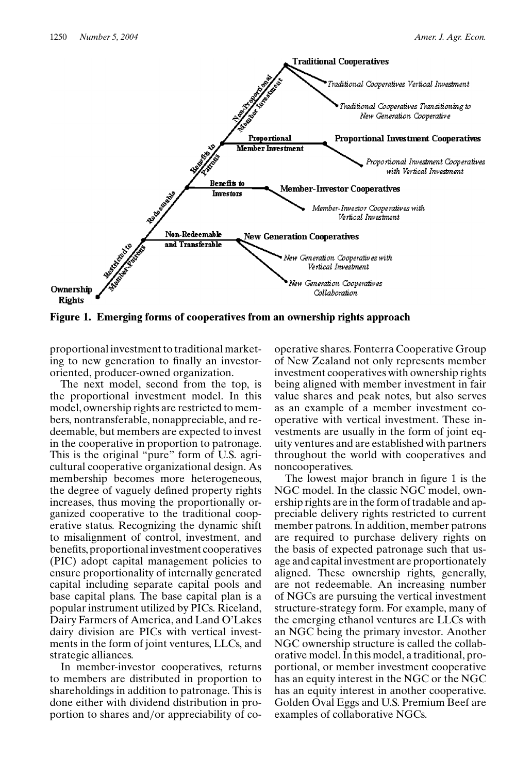

**Figure 1. Emerging forms of cooperatives from an ownership rights approach**

proportional investment to traditional marketing to new generation to finally an investororiented, producer-owned organization.

The next model, second from the top, is the proportional investment model. In this model, ownership rights are restricted to members, nontransferable, nonappreciable, and redeemable, but members are expected to invest in the cooperative in proportion to patronage. This is the original "pure" form of U.S. agricultural cooperative organizational design. As membership becomes more heterogeneous, the degree of vaguely defined property rights increases, thus moving the proportionally organized cooperative to the traditional cooperative status. Recognizing the dynamic shift to misalignment of control, investment, and benefits, proportional investment cooperatives (PIC) adopt capital management policies to ensure proportionality of internally generated capital including separate capital pools and base capital plans. The base capital plan is a popular instrument utilized by PICs. Riceland, Dairy Farmers of America, and Land O'Lakes dairy division are PICs with vertical investments in the form of joint ventures, LLCs, and strategic alliances.

In member-investor cooperatives, returns to members are distributed in proportion to shareholdings in addition to patronage. This is done either with dividend distribution in proportion to shares and/or appreciability of cooperative shares. Fonterra Cooperative Group of New Zealand not only represents member investment cooperatives with ownership rights being aligned with member investment in fair value shares and peak notes, but also serves as an example of a member investment cooperative with vertical investment. These investments are usually in the form of joint equity ventures and are established with partners throughout the world with cooperatives and noncooperatives.

The lowest major branch in figure 1 is the NGC model. In the classic NGC model, ownership rights are in the form of tradable and appreciable delivery rights restricted to current member patrons. In addition, member patrons are required to purchase delivery rights on the basis of expected patronage such that usage and capital investment are proportionately aligned. These ownership rights, generally, are not redeemable. An increasing number of NGCs are pursuing the vertical investment structure-strategy form. For example, many of the emerging ethanol ventures are LLCs with an NGC being the primary investor. Another NGC ownership structure is called the collaborative model. In this model, a traditional, proportional, or member investment cooperative has an equity interest in the NGC or the NGC has an equity interest in another cooperative. Golden Oval Eggs and U.S. Premium Beef are examples of collaborative NGCs.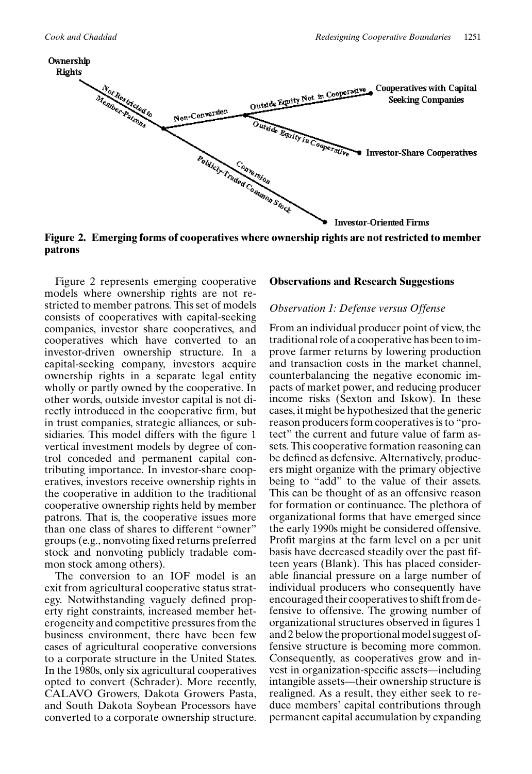

**Figure 2. Emerging forms of cooperatives where ownership rights are not restricted to member patrons**

Figure 2 represents emerging cooperative models where ownership rights are not restricted to member patrons. This set of models consists of cooperatives with capital-seeking companies, investor share cooperatives, and cooperatives which have converted to an investor-driven ownership structure. In a capital-seeking company, investors acquire ownership rights in a separate legal entity wholly or partly owned by the cooperative. In other words, outside investor capital is not directly introduced in the cooperative firm, but in trust companies, strategic alliances, or subsidiaries. This model differs with the figure 1 vertical investment models by degree of control conceded and permanent capital contributing importance. In investor-share cooperatives, investors receive ownership rights in the cooperative in addition to the traditional cooperative ownership rights held by member patrons. That is, the cooperative issues more than one class of shares to different "owner" groups (e.g., nonvoting fixed returns preferred stock and nonvoting publicly tradable common stock among others).

The conversion to an IOF model is an exit from agricultural cooperative status strategy. Notwithstanding vaguely defined property right constraints, increased member heterogeneity and competitive pressures from the business environment, there have been few cases of agricultural cooperative conversions to a corporate structure in the United States. In the 1980s, only six agricultural cooperatives opted to convert (Schrader). More recently, CALAVO Growers, Dakota Growers Pasta, and South Dakota Soybean Processors have converted to a corporate ownership structure.

#### **Observations and Research Suggestions**

#### *Observation 1: Defense versus Offense*

From an individual producer point of view, the traditional role of a cooperative has been to improve farmer returns by lowering production and transaction costs in the market channel, counterbalancing the negative economic impacts of market power, and reducing producer income risks (Sexton and Iskow). In these cases, it might be hypothesized that the generic reason producers form cooperatives is to "protect" the current and future value of farm assets. This cooperative formation reasoning can be defined as defensive. Alternatively, producers might organize with the primary objective being to "add" to the value of their assets. This can be thought of as an offensive reason for formation or continuance. The plethora of organizational forms that have emerged since the early 1990s might be considered offensive. Profit margins at the farm level on a per unit basis have decreased steadily over the past fifteen years (Blank). This has placed considerable financial pressure on a large number of individual producers who consequently have encouraged their cooperatives to shift from defensive to offensive. The growing number of organizational structures observed in figures 1 and 2 below the proportional model suggest offensive structure is becoming more common. Consequently, as cooperatives grow and invest in organization-specific assets—including intangible assets—their ownership structure is realigned. As a result, they either seek to reduce members' capital contributions through permanent capital accumulation by expanding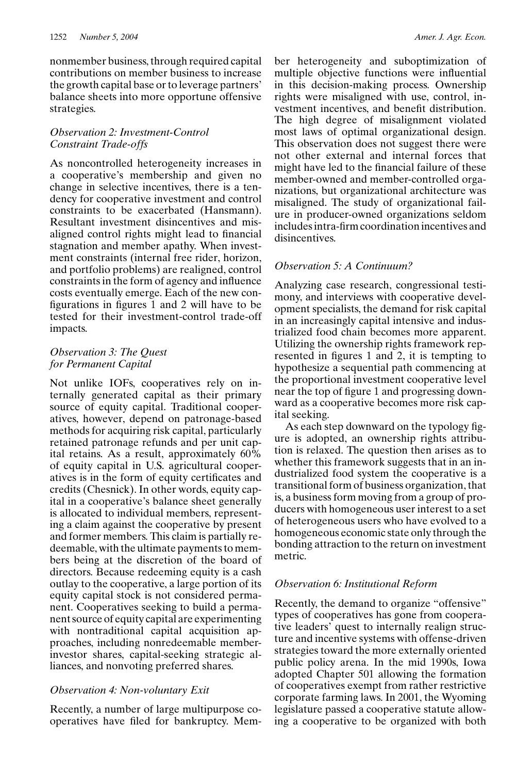nonmember business, through required capital contributions on member business to increase the growth capital base or to leverage partners' balance sheets into more opportune offensive strategies.

### *Observation 2: Investment-Control Constraint Trade-offs*

As noncontrolled heterogeneity increases in a cooperative's membership and given no change in selective incentives, there is a tendency for cooperative investment and control constraints to be exacerbated (Hansmann). Resultant investment disincentives and misaligned control rights might lead to financial stagnation and member apathy. When investment constraints (internal free rider, horizon, and portfolio problems) are realigned, control constraints in the form of agency and influence costs eventually emerge. Each of the new configurations in figures 1 and 2 will have to be tested for their investment-control trade-off impacts.

## *Observation 3: The Quest for Permanent Capital*

Not unlike IOFs, cooperatives rely on internally generated capital as their primary source of equity capital. Traditional cooperatives, however, depend on patronage-based methods for acquiring risk capital, particularly retained patronage refunds and per unit capital retains. As a result, approximately 60% of equity capital in U.S. agricultural cooperatives is in the form of equity certificates and credits (Chesnick). In other words, equity capital in a cooperative's balance sheet generally is allocated to individual members, representing a claim against the cooperative by present and former members. This claim is partially redeemable, with the ultimate payments to members being at the discretion of the board of directors. Because redeeming equity is a cash outlay to the cooperative, a large portion of its equity capital stock is not considered permanent. Cooperatives seeking to build a permanent source of equity capital are experimenting with nontraditional capital acquisition approaches, including nonredeemable memberinvestor shares, capital-seeking strategic alliances, and nonvoting preferred shares.

## *Observation 4: Non-voluntary Exit*

Recently, a number of large multipurpose cooperatives have filed for bankruptcy. Member heterogeneity and suboptimization of multiple objective functions were influential in this decision-making process. Ownership rights were misaligned with use, control, investment incentives, and benefit distribution. The high degree of misalignment violated most laws of optimal organizational design. This observation does not suggest there were not other external and internal forces that might have led to the financial failure of these member-owned and member-controlled organizations, but organizational architecture was misaligned. The study of organizational failure in producer-owned organizations seldom includes intra-firm coordination incentives and disincentives.

## *Observation 5: A Continuum?*

Analyzing case research, congressional testimony, and interviews with cooperative development specialists, the demand for risk capital in an increasingly capital intensive and industrialized food chain becomes more apparent. Utilizing the ownership rights framework represented in figures 1 and 2, it is tempting to hypothesize a sequential path commencing at the proportional investment cooperative level near the top of figure 1 and progressing downward as a cooperative becomes more risk capital seeking.

As each step downward on the typology figure is adopted, an ownership rights attribution is relaxed. The question then arises as to whether this framework suggests that in an industrialized food system the cooperative is a transitional form of business organization, that is, a business form moving from a group of producers with homogeneous user interest to a set of heterogeneous users who have evolved to a homogeneous economic state only through the bonding attraction to the return on investment metric.

## *Observation 6: Institutional Reform*

Recently, the demand to organize "offensive" types of cooperatives has gone from cooperative leaders' quest to internally realign structure and incentive systems with offense-driven strategies toward the more externally oriented public policy arena. In the mid 1990s, Iowa adopted Chapter 501 allowing the formation of cooperatives exempt from rather restrictive corporate farming laws. In 2001, the Wyoming legislature passed a cooperative statute allowing a cooperative to be organized with both